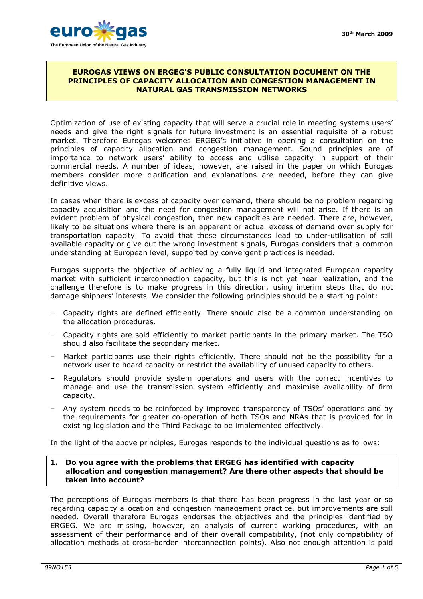

### **EUROGAS VIEWS ON ERGEG'S PUBLIC CONSULTATION DOCUMENT ON THE PRINCIPLES OF CAPACITY ALLOCATION AND CONGESTION MANAGEMENT IN NATURAL GAS TRANSMISSION NETWORKS**

Optimization of use of existing capacity that will serve a crucial role in meeting systems users' needs and give the right signals for future investment is an essential requisite of a robust market. Therefore Eurogas welcomes ERGEG's initiative in opening a consultation on the principles of capacity allocation and congestion management. Sound principles are of importance to network users' ability to access and utilise capacity in support of their commercial needs. A number of ideas, however, are raised in the paper on which Eurogas members consider more clarification and explanations are needed, before they can give definitive views.

In cases when there is excess of capacity over demand, there should be no problem regarding capacity acquisition and the need for congestion management will not arise. If there is an evident problem of physical congestion, then new capacities are needed. There are, however, likely to be situations where there is an apparent or actual excess of demand over supply for transportation capacity. To avoid that these circumstances lead to under-utilisation of still available capacity or give out the wrong investment signals, Eurogas considers that a common understanding at European level, supported by convergent practices is needed.

Eurogas supports the objective of achieving a fully liquid and integrated European capacity market with sufficient interconnection capacity, but this is not yet near realization, and the challenge therefore is to make progress in this direction, using interim steps that do not damage shippers' interests. We consider the following principles should be a starting point:

- Capacity rights are defined efficiently. There should also be a common understanding on the allocation procedures.
- Capacity rights are sold efficiently to market participants in the primary market. The TSO should also facilitate the secondary market.
- Market participants use their rights efficiently. There should not be the possibility for a network user to hoard capacity or restrict the availability of unused capacity to others.
- Regulators should provide system operators and users with the correct incentives to manage and use the transmission system efficiently and maximise availability of firm capacity.
- Any system needs to be reinforced by improved transparency of TSOs' operations and by the requirements for greater co-operation of both TSOs and NRAs that is provided for in existing legislation and the Third Package to be implemented effectively.

In the light of the above principles, Eurogas responds to the individual questions as follows:

# **1. Do you agree with the problems that ERGEG has identified with capacity allocation and congestion management? Are there other aspects that should be taken into account?**

The perceptions of Eurogas members is that there has been progress in the last year or so regarding capacity allocation and congestion management practice, but improvements are still needed. Overall therefore Eurogas endorses the objectives and the principles identified by ERGEG. We are missing, however, an analysis of current working procedures, with an assessment of their performance and of their overall compatibility, (not only compatibility of allocation methods at cross-border interconnection points). Also not enough attention is paid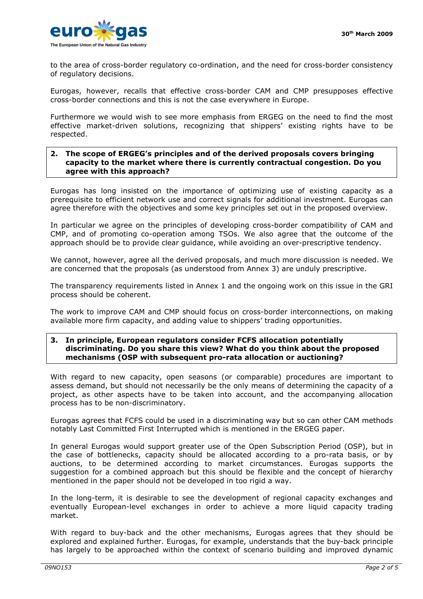

to the area of cross-border regulatory co-ordination, and the need for cross-border consistency of regulatory decisions.

Eurogas, however, recalls that effective cross-border CAM and CMP presupposes effective cross-border connections and this is not the case everywhere in Europe.

Furthermore we would wish to see more emphasis from ERGEG on the need to find the most effective market-driven solutions, recognizing that shippers' existing rights have to be respected.

## **2. The scope of ERGEG's principles and of the derived proposals covers bringing capacity to the market where there is currently contractual congestion. Do you agree with this approach?**

Eurogas has long insisted on the importance of optimizing use of existing capacity as a prerequisite to efficient network use and correct signals for additional investment. Eurogas can agree therefore with the objectives and some key principles set out in the proposed overview.

In particular we agree on the principles of developing cross-border compatibility of CAM and CMP, and of promoting co-operation among TSOs. We also agree that the outcome of the approach should be to provide clear guidance, while avoiding an over-prescriptive tendency.

We cannot, however, agree all the derived proposals, and much more discussion is needed. We are concerned that the proposals (as understood from Annex 3) are unduly prescriptive.

The transparency requirements listed in Annex 1 and the ongoing work on this issue in the GRI process should be coherent.

The work to improve CAM and CMP should focus on cross-border interconnections, on making available more firm capacity, and adding value to shippers' trading opportunities.

### **3. In principle, European regulators consider FCFS allocation potentially discriminating. Do you share this view? What do you think about the proposed mechanisms (OSP with subsequent pro-rata allocation or auctioning?**

With regard to new capacity, open seasons (or comparable) procedures are important to assess demand, but should not necessarily be the only means of determining the capacity of a project, as other aspects have to be taken into account, and the accompanying allocation process has to be non-discriminatory.

Eurogas agrees that FCFS could be used in a discriminating way but so can other CAM methods notably Last Committed First Interrupted which is mentioned in the ERGEG paper.

In general Eurogas would support greater use of the Open Subscription Period (OSP), but in the case of bottlenecks, capacity should be allocated according to a pro-rata basis, or by auctions, to be determined according to market circumstances. Eurogas supports the suggestion for a combined approach but this should be flexible and the concept of hierarchy mentioned in the paper should not be developed in too rigid a way.

In the long-term, it is desirable to see the development of regional capacity exchanges and eventually European-level exchanges in order to achieve a more liquid capacity trading market.

With regard to buy-back and the other mechanisms, Eurogas agrees that they should be explored and explained further. Eurogas, for example, understands that the buy-back principle has largely to be approached within the context of scenario building and improved dynamic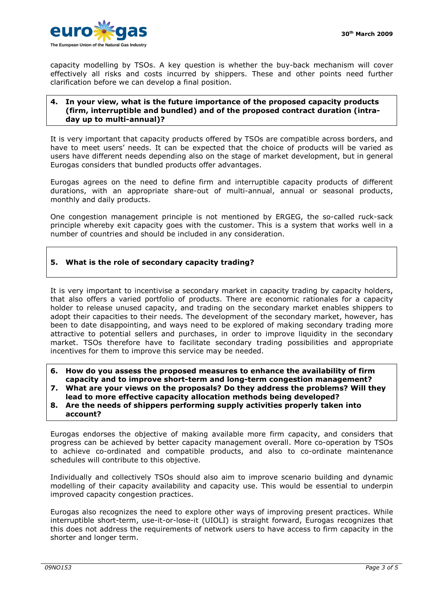

capacity modelling by TSOs. A key question is whether the buy-back mechanism will cover effectively all risks and costs incurred by shippers. These and other points need further clarification before we can develop a final position.

### **4. In your view, what is the future importance of the proposed capacity products (firm, interruptible and bundled) and of the proposed contract duration (intraday up to multi-annual)?**

It is very important that capacity products offered by TSOs are compatible across borders, and have to meet users' needs. It can be expected that the choice of products will be varied as users have different needs depending also on the stage of market development, but in general Eurogas considers that bundled products offer advantages.

Eurogas agrees on the need to define firm and interruptible capacity products of different durations, with an appropriate share-out of multi-annual, annual or seasonal products, monthly and daily products.

One congestion management principle is not mentioned by ERGEG, the so-called ruck-sack principle whereby exit capacity goes with the customer. This is a system that works well in a number of countries and should be included in any consideration.

# **5. What is the role of secondary capacity trading?**

It is very important to incentivise a secondary market in capacity trading by capacity holders, that also offers a varied portfolio of products. There are economic rationales for a capacity holder to release unused capacity, and trading on the secondary market enables shippers to adopt their capacities to their needs. The development of the secondary market, however, has been to date disappointing, and ways need to be explored of making secondary trading more attractive to potential sellers and purchases, in order to improve liquidity in the secondary market. TSOs therefore have to facilitate secondary trading possibilities and appropriate incentives for them to improve this service may be needed.

- **6. How do you assess the proposed measures to enhance the availability of firm capacity and to improve short-term and long-term congestion management?**
- **7. What are your views on the proposals? Do they address the problems? Will they lead to more effective capacity allocation methods being developed?**
- **8. Are the needs of shippers performing supply activities properly taken into account?**

Eurogas endorses the objective of making available more firm capacity, and considers that progress can be achieved by better capacity management overall. More co-operation by TSOs to achieve co-ordinated and compatible products, and also to co-ordinate maintenance schedules will contribute to this objective.

Individually and collectively TSOs should also aim to improve scenario building and dynamic modelling of their capacity availability and capacity use. This would be essential to underpin improved capacity congestion practices.

Eurogas also recognizes the need to explore other ways of improving present practices. While interruptible short-term, use-it-or-lose-it (UIOLI) is straight forward, Eurogas recognizes that this does not address the requirements of network users to have access to firm capacity in the shorter and longer term.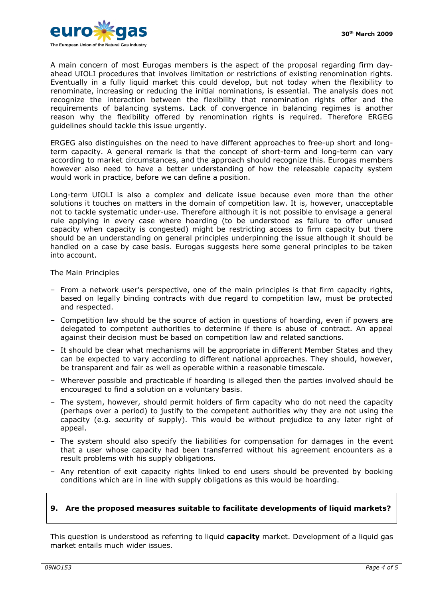

A main concern of most Eurogas members is the aspect of the proposal regarding firm dayahead UIOLI procedures that involves limitation or restrictions of existing renomination rights. Eventually in a fully liquid market this could develop, but not today when the flexibility to renominate, increasing or reducing the initial nominations, is essential. The analysis does not recognize the interaction between the flexibility that renomination rights offer and the requirements of balancing systems. Lack of convergence in balancing regimes is another reason why the flexibility offered by renomination rights is required. Therefore ERGEG guidelines should tackle this issue urgently.

ERGEG also distinguishes on the need to have different approaches to free-up short and longterm capacity. A general remark is that the concept of short-term and long-term can vary according to market circumstances, and the approach should recognize this. Eurogas members however also need to have a better understanding of how the releasable capacity system would work in practice, before we can define a position.

Long-term UIOLI is also a complex and delicate issue because even more than the other solutions it touches on matters in the domain of competition law. It is, however, unacceptable not to tackle systematic under-use. Therefore although it is not possible to envisage a general rule applying in every case where hoarding (to be understood as failure to offer unused capacity when capacity is congested) might be restricting access to firm capacity but there should be an understanding on general principles underpinning the issue although it should be handled on a case by case basis. Eurogas suggests here some general principles to be taken into account.

## The Main Principles

- From a network user's perspective, one of the main principles is that firm capacity rights, based on legally binding contracts with due regard to competition law, must be protected and respected.
- Competition law should be the source of action in questions of hoarding, even if powers are delegated to competent authorities to determine if there is abuse of contract. An appeal against their decision must be based on competition law and related sanctions.
- It should be clear what mechanisms will be appropriate in different Member States and they can be expected to vary according to different national approaches. They should, however, be transparent and fair as well as operable within a reasonable timescale.
- Wherever possible and practicable if hoarding is alleged then the parties involved should be encouraged to find a solution on a voluntary basis.
- The system, however, should permit holders of firm capacity who do not need the capacity (perhaps over a period) to justify to the competent authorities why they are not using the capacity (e.g. security of supply). This would be without prejudice to any later right of appeal.
- The system should also specify the liabilities for compensation for damages in the event that a user whose capacity had been transferred without his agreement encounters as a result problems with his supply obligations.
- Any retention of exit capacity rights linked to end users should be prevented by booking conditions which are in line with supply obligations as this would be hoarding.

## **9. Are the proposed measures suitable to facilitate developments of liquid markets?**

This question is understood as referring to liquid **capacity** market. Development of a liquid gas market entails much wider issues.